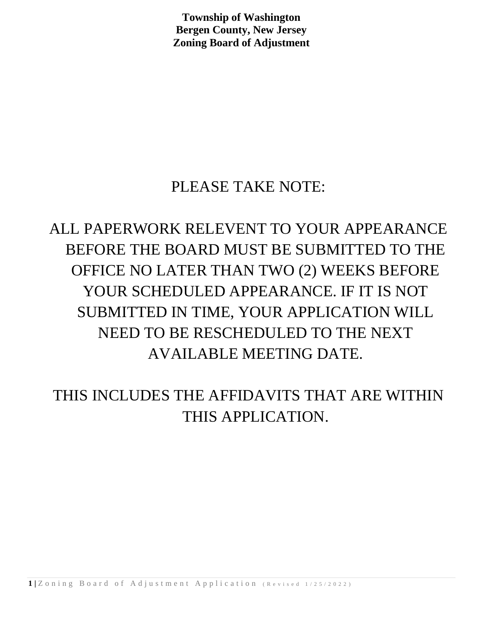## PLEASE TAKE NOTE:

# ALL PAPERWORK RELEVENT TO YOUR APPEARANCE BEFORE THE BOARD MUST BE SUBMITTED TO THE OFFICE NO LATER THAN TWO (2) WEEKS BEFORE YOUR SCHEDULED APPEARANCE. IF IT IS NOT SUBMITTED IN TIME, YOUR APPLICATION WILL NEED TO BE RESCHEDULED TO THE NEXT AVAILABLE MEETING DATE.

THIS INCLUDES THE AFFIDAVITS THAT ARE WITHIN THIS APPLICATION.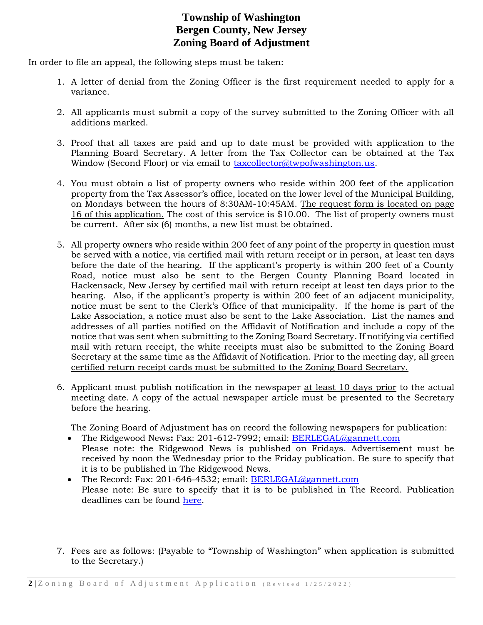In order to file an appeal, the following steps must be taken:

- 1. A letter of denial from the Zoning Officer is the first requirement needed to apply for a variance.
- 2. All applicants must submit a copy of the survey submitted to the Zoning Officer with all additions marked.
- 3. Proof that all taxes are paid and up to date must be provided with application to the Planning Board Secretary. A letter from the Tax Collector can be obtained at the Tax Window (Second Floor) or via email to [taxcollector@twpofwashington.us.](mailto:taxcollector@twpofwashington.us)
- 4. You must obtain a list of property owners who reside within 200 feet of the application property from the Tax Assessor's office, located on the lower level of the Municipal Building, on Mondays between the hours of 8:30AM-10:45AM. The request form is located on page 16 of this application. The cost of this service is \$10.00. The list of property owners must be current. After six (6) months, a new list must be obtained.
- 5. All property owners who reside within 200 feet of any point of the property in question must be served with a notice, via certified mail with return receipt or in person, at least ten days before the date of the hearing. If the applicant's property is within 200 feet of a County Road, notice must also be sent to the Bergen County Planning Board located in Hackensack, New Jersey by certified mail with return receipt at least ten days prior to the hearing. Also, if the applicant's property is within 200 feet of an adjacent municipality, notice must be sent to the Clerk's Office of that municipality. If the home is part of the Lake Association, a notice must also be sent to the Lake Association. List the names and addresses of all parties notified on the Affidavit of Notification and include a copy of the notice that was sent when submitting to the Zoning Board Secretary. If notifying via certified mail with return receipt, the white receipts must also be submitted to the Zoning Board Secretary at the same time as the Affidavit of Notification. Prior to the meeting day, all green certified return receipt cards must be submitted to the Zoning Board Secretary.
- 6. Applicant must publish notification in the newspaper at least 10 days prior to the actual meeting date. A copy of the actual newspaper article must be presented to the Secretary before the hearing.

The Zoning Board of Adjustment has on record the following newspapers for publication:

- The Ridgewood News**:** Fax: 201-612-7992; email: [BERLEGAL@gannett.com](mailto:BERLEGAL@gannett.com) Please note: the Ridgewood News is published on Fridays. Advertisement must be received by noon the Wednesday prior to the Friday publication. Be sure to specify that it is to be published in The Ridgewood News.
- The Record: Fax: 201-646-4532; email: [BERLEGAL@gannett.com](mailto:BERLEGAL@gannett.com) Please note: Be sure to specify that it is to be published in The Record. Publication deadlines can be found [here.](https://www.twpofwashington.us/home/180006394/180006394/Images/PUBLIC%20NOTICE%20DEADLINES.pdf)
- 7. Fees are as follows: (Payable to "Township of Washington" when application is submitted to the Secretary.)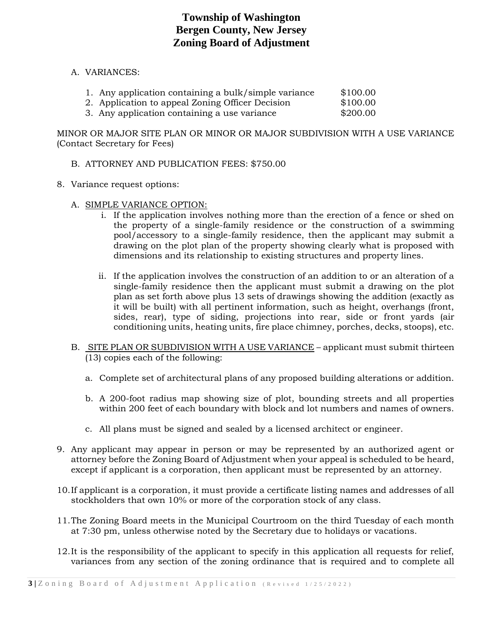A. VARIANCES:

| 1. Any application containing a bulk/simple variance | \$100.00 |
|------------------------------------------------------|----------|
| 2. Application to appeal Zoning Officer Decision     | \$100.00 |

3. Any application containing a use variance \$200.00

MINOR OR MAJOR SITE PLAN OR MINOR OR MAJOR SUBDIVISION WITH A USE VARIANCE (Contact Secretary for Fees)

- B. ATTORNEY AND PUBLICATION FEES: \$750.00
- 8. Variance request options:
	- A. SIMPLE VARIANCE OPTION:
		- i. If the application involves nothing more than the erection of a fence or shed on the property of a single-family residence or the construction of a swimming pool/accessory to a single-family residence, then the applicant may submit a drawing on the plot plan of the property showing clearly what is proposed with dimensions and its relationship to existing structures and property lines.
		- ii. If the application involves the construction of an addition to or an alteration of a single-family residence then the applicant must submit a drawing on the plot plan as set forth above plus 13 sets of drawings showing the addition (exactly as it will be built) with all pertinent information, such as height, overhangs (front, sides, rear), type of siding, projections into rear, side or front yards (air conditioning units, heating units, fire place chimney, porches, decks, stoops), etc.
	- B. SITE PLAN OR SUBDIVISION WITH A USE VARIANCE applicant must submit thirteen (13) copies each of the following:
		- a. Complete set of architectural plans of any proposed building alterations or addition.
		- b. A 200-foot radius map showing size of plot, bounding streets and all properties within 200 feet of each boundary with block and lot numbers and names of owners.
		- c. All plans must be signed and sealed by a licensed architect or engineer.
- 9. Any applicant may appear in person or may be represented by an authorized agent or attorney before the Zoning Board of Adjustment when your appeal is scheduled to be heard, except if applicant is a corporation, then applicant must be represented by an attorney.
- 10.If applicant is a corporation, it must provide a certificate listing names and addresses of all stockholders that own 10% or more of the corporation stock of any class.
- 11.The Zoning Board meets in the Municipal Courtroom on the third Tuesday of each month at 7:30 pm, unless otherwise noted by the Secretary due to holidays or vacations.
- 12.It is the responsibility of the applicant to specify in this application all requests for relief, variances from any section of the zoning ordinance that is required and to complete all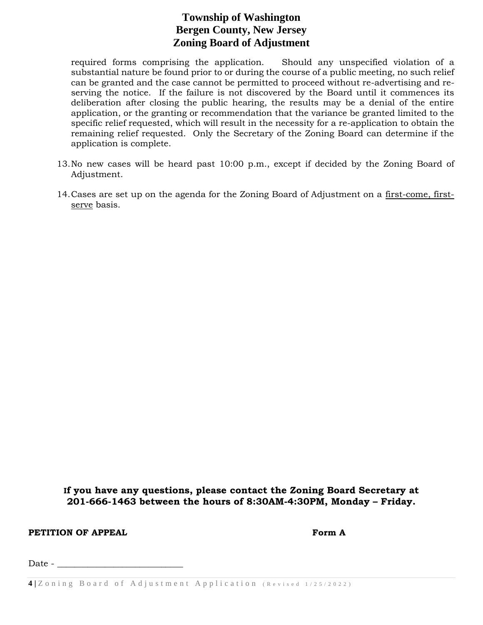required forms comprising the application. Should any unspecified violation of a substantial nature be found prior to or during the course of a public meeting, no such relief can be granted and the case cannot be permitted to proceed without re-advertising and reserving the notice. If the failure is not discovered by the Board until it commences its deliberation after closing the public hearing, the results may be a denial of the entire application, or the granting or recommendation that the variance be granted limited to the specific relief requested, which will result in the necessity for a re-application to obtain the remaining relief requested. Only the Secretary of the Zoning Board can determine if the application is complete.

- 13.No new cases will be heard past 10:00 p.m., except if decided by the Zoning Board of Adjustment.
- 14.Cases are set up on the agenda for the Zoning Board of Adjustment on a first-come, firstserve basis.

**If you have any questions, please contact the Zoning Board Secretary at 201-666-1463 between the hours of 8:30AM-4:30PM, Monday – Friday.** 

**PETITION OF APPEAL SERVICE SERVICES** FORM A

 $Date -$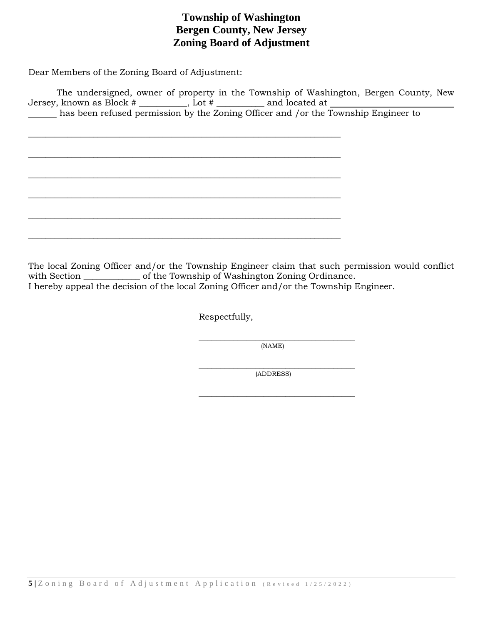Dear Members of the Zoning Board of Adjustment:

\_\_\_\_\_\_\_\_\_\_\_\_\_\_\_\_\_\_\_\_\_\_\_\_\_\_\_\_\_\_\_\_\_\_\_\_\_\_\_\_\_\_\_\_\_\_\_\_\_\_\_\_\_\_\_\_\_\_\_\_\_\_\_\_\_\_\_\_\_\_\_\_

 $\_$  , and the set of the set of the set of the set of the set of the set of the set of the set of the set of the set of the set of the set of the set of the set of the set of the set of the set of the set of the set of th

 $\_$  , and the set of the set of the set of the set of the set of the set of the set of the set of the set of the set of the set of the set of the set of the set of the set of the set of the set of the set of the set of th

\_\_\_\_\_\_\_\_\_\_\_\_\_\_\_\_\_\_\_\_\_\_\_\_\_\_\_\_\_\_\_\_\_\_\_\_\_\_\_\_\_\_\_\_\_\_\_\_\_\_\_\_\_\_\_\_\_\_\_\_\_\_\_\_\_\_\_\_\_\_\_\_

\_\_\_\_\_\_\_\_\_\_\_\_\_\_\_\_\_\_\_\_\_\_\_\_\_\_\_\_\_\_\_\_\_\_\_\_\_\_\_\_\_\_\_\_\_\_\_\_\_\_\_\_\_\_\_\_\_\_\_\_\_\_\_\_\_\_\_\_\_\_\_\_

\_\_\_\_\_\_\_\_\_\_\_\_\_\_\_\_\_\_\_\_\_\_\_\_\_\_\_\_\_\_\_\_\_\_\_\_\_\_\_\_\_\_\_\_\_\_\_\_\_\_\_\_\_\_\_\_\_\_\_\_\_\_\_\_\_\_\_\_\_\_\_\_

The undersigned, owner of property in the Township of Washington, Bergen County, New Jersey, known as Block # \_\_\_\_\_\_\_\_\_\_\_, Lot # \_\_\_\_\_\_\_\_\_\_\_ and located at has been refused permission by the Zoning Officer and /or the Township Engineer to

The local Zoning Officer and/or the Township Engineer claim that such permission would conflict with Section \_\_\_\_\_\_\_\_\_\_\_\_\_\_\_\_ of the Township of Washington Zoning Ordinance. I hereby appeal the decision of the local Zoning Officer and/or the Township Engineer.

Respectfully,

\_\_\_\_\_\_\_\_\_\_\_\_\_\_\_\_\_\_\_\_\_\_\_\_\_\_\_\_\_\_\_\_\_\_\_\_ (NAME)

\_\_\_\_\_\_\_\_\_\_\_\_\_\_\_\_\_\_\_\_\_\_\_\_\_\_\_\_\_\_\_\_\_\_\_\_ (ADDRESS)

\_\_\_\_\_\_\_\_\_\_\_\_\_\_\_\_\_\_\_\_\_\_\_\_\_\_\_\_\_\_\_\_\_\_\_\_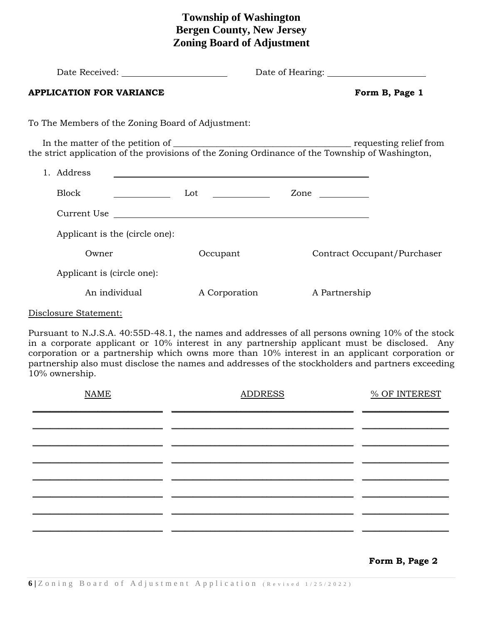| <b>APPLICATION FOR VARIANCE</b>                                                                                 |                                                                                                                       | Form B, Page 1                                                                                  |
|-----------------------------------------------------------------------------------------------------------------|-----------------------------------------------------------------------------------------------------------------------|-------------------------------------------------------------------------------------------------|
| To The Members of the Zoning Board of Adjustment:                                                               |                                                                                                                       |                                                                                                 |
|                                                                                                                 |                                                                                                                       | the strict application of the provisions of the Zoning Ordinance of the Township of Washington, |
| 1. Address                                                                                                      | <u> 1989 - Johann Stoff, deutscher Stoff, der Stoff, der Stoff, der Stoff, der Stoff, der Stoff, der Stoff, der S</u> |                                                                                                 |
| <b>Block</b>                                                                                                    | $\frac{1}{\sqrt{1-\frac{1}{2}}}\int$ Lot $\frac{1}{\sqrt{1-\frac{1}{2}}}\int$                                         | Zone                                                                                            |
| Current Use Lawrence and Current Use Lawrence and Current Use Lawrence and Current Use Lawrence and Current Use |                                                                                                                       |                                                                                                 |
| Applicant is the (circle one):                                                                                  |                                                                                                                       |                                                                                                 |
| Owner                                                                                                           | Occupant                                                                                                              | Contract Occupant/Purchaser                                                                     |
| Applicant is (circle one):                                                                                      |                                                                                                                       |                                                                                                 |
| An individual                                                                                                   | A Corporation                                                                                                         | A Partnership                                                                                   |
| Disclosure Statement:                                                                                           |                                                                                                                       |                                                                                                 |

Pursuant to N.J.S.A. 40:55D-48.1, the names and addresses of all persons owning 10% of the stock in a corporate applicant or 10% interest in any partnership applicant must be disclosed. Any corporation or a partnership which owns more than 10% interest in an applicant corporation or partnership also must disclose the names and addresses of the stockholders and partners exceeding 10% ownership.

| <b>NAME</b> | <b>ADDRESS</b> | % OF INTEREST |
|-------------|----------------|---------------|
|             |                |               |
|             |                |               |
|             |                |               |
|             |                |               |
|             |                |               |
|             |                |               |
|             |                |               |
|             |                |               |
|             |                |               |

**Form B, Page 2**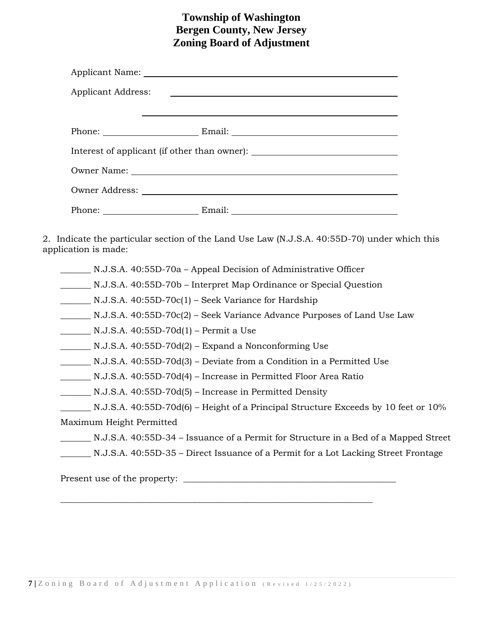| Applicant Address:<br><u> 1980 - Andrea Andrew Maria (h. 1980).</u><br>1900 - Andrew Maria (h. 1900). |  |  |  |  |
|-------------------------------------------------------------------------------------------------------|--|--|--|--|
|                                                                                                       |  |  |  |  |
| Phone:                                                                                                |  |  |  |  |
| Interest of applicant (if other than owner): ___________________________________                      |  |  |  |  |
|                                                                                                       |  |  |  |  |
|                                                                                                       |  |  |  |  |
|                                                                                                       |  |  |  |  |

2. Indicate the particular section of the Land Use Law (N.J.S.A. 40:55D-70) under which this application is made:

\_\_\_\_\_\_\_ N.J.S.A. 40:55D-70a – Appeal Decision of Administrative Officer

\_\_\_\_\_\_\_ N.J.S.A. 40:55D-70b – Interpret Map Ordinance or Special Question

\_\_\_\_\_\_\_ N.J.S.A. 40:55D-70c(1) – Seek Variance for Hardship

\_\_\_\_\_\_\_ N.J.S.A. 40:55D-70c(2) – Seek Variance Advance Purposes of Land Use Law

\_\_\_\_\_\_\_ N.J.S.A. 40:55D-70d(1) – Permit a Use

\_\_\_\_\_\_\_ N.J.S.A. 40:55D-70d(2) – Expand a Nonconforming Use

\_\_\_\_\_\_\_ N.J.S.A. 40:55D-70d(3) – Deviate from a Condition in a Permitted Use

\_\_\_\_\_\_\_ N.J.S.A. 40:55D-70d(4) – Increase in Permitted Floor Area Ratio

 $\_$  , and the set of the set of the set of the set of the set of the set of the set of the set of the set of the set of the set of the set of the set of the set of the set of the set of the set of the set of the set of th

\_\_\_\_\_\_\_ N.J.S.A. 40:55D-70d(5) – Increase in Permitted Density

\_\_\_\_\_\_\_ N.J.S.A. 40:55D-70d(6) – Height of a Principal Structure Exceeds by 10 feet or 10% Maximum Height Permitted

\_\_\_\_\_\_\_ N.J.S.A. 40:55D-34 – Issuance of a Permit for Structure in a Bed of a Mapped Street \_\_\_\_\_\_\_ N.J.S.A. 40:55D-35 – Direct Issuance of a Permit for a Lot Lacking Street Frontage

Present use of the property: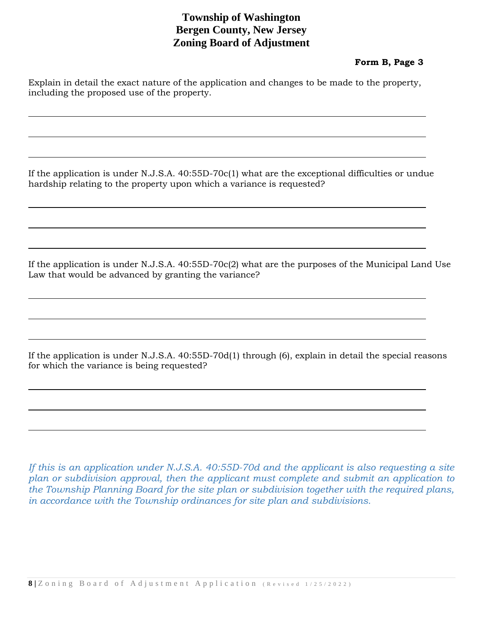#### **Form B, Page 3**

Explain in detail the exact nature of the application and changes to be made to the property, including the proposed use of the property.

If the application is under N.J.S.A. 40:55D-70c(1) what are the exceptional difficulties or undue hardship relating to the property upon which a variance is requested?

If the application is under N.J.S.A. 40:55D-70c(2) what are the purposes of the Municipal Land Use Law that would be advanced by granting the variance?

If the application is under N.J.S.A. 40:55D-70d(1) through (6), explain in detail the special reasons for which the variance is being requested?

*If this is an application under N.J.S.A. 40:55D-70d and the applicant is also requesting a site plan or subdivision approval, then the applicant must complete and submit an application to the Township Planning Board for the site plan or subdivision together with the required plans, in accordance with the Township ordinances for site plan and subdivisions.*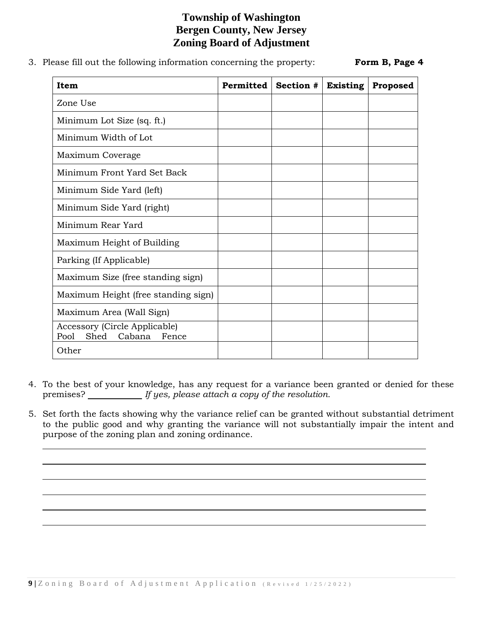|  | 3. Please fill out the following information concerning the property: | Form B, Page 4 |
|--|-----------------------------------------------------------------------|----------------|
|  |                                                                       |                |

| Item                                                             | Permitted | Section # | <b>Existing</b> | Proposed |
|------------------------------------------------------------------|-----------|-----------|-----------------|----------|
| Zone Use                                                         |           |           |                 |          |
| Minimum Lot Size (sq. ft.)                                       |           |           |                 |          |
| Minimum Width of Lot                                             |           |           |                 |          |
| Maximum Coverage                                                 |           |           |                 |          |
| Minimum Front Yard Set Back                                      |           |           |                 |          |
| Minimum Side Yard (left)                                         |           |           |                 |          |
| Minimum Side Yard (right)                                        |           |           |                 |          |
| Minimum Rear Yard                                                |           |           |                 |          |
| Maximum Height of Building                                       |           |           |                 |          |
| Parking (If Applicable)                                          |           |           |                 |          |
| Maximum Size (free standing sign)                                |           |           |                 |          |
| Maximum Height (free standing sign)                              |           |           |                 |          |
| Maximum Area (Wall Sign)                                         |           |           |                 |          |
| Accessory (Circle Applicable)<br>Shed<br>Cabana<br>Fence<br>Pool |           |           |                 |          |
| Other                                                            |           |           |                 |          |

- 4. To the best of your knowledge, has any request for a variance been granted or denied for these premises? *If yes, please attach a copy of the resolution.*
- 5. Set forth the facts showing why the variance relief can be granted without substantial detriment to the public good and why granting the variance will not substantially impair the intent and purpose of the zoning plan and zoning ordinance.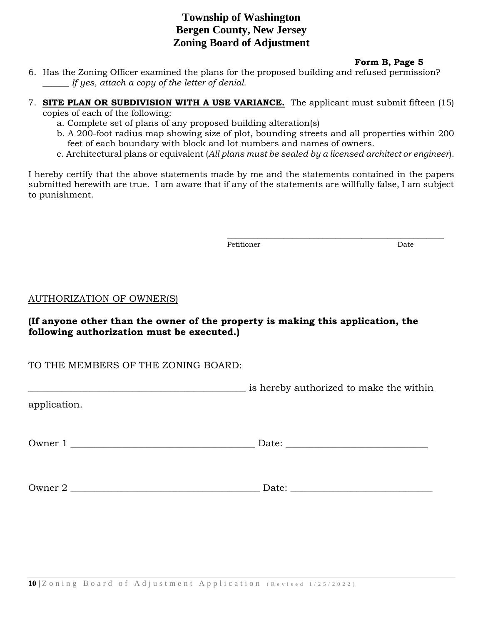#### **Form B, Page 5**

- 6. Has the Zoning Officer examined the plans for the proposed building and refused permission? \_\_\_\_\_\_ *If yes, attach a copy of the letter of denial.*
- 7. **SITE PLAN OR SUBDIVISION WITH A USE VARIANCE.** The applicant must submit fifteen (15) copies of each of the following:
	- a. Complete set of plans of any proposed building alteration(s)
	- b. A 200-foot radius map showing size of plot, bounding streets and all properties within 200 feet of each boundary with block and lot numbers and names of owners.
	- c. Architectural plans or equivalent (*All plans must be sealed by a licensed architect or engineer*).

I hereby certify that the above statements made by me and the statements contained in the papers submitted herewith are true. I am aware that if any of the statements are willfully false, I am subject to punishment.

> \_\_\_\_\_\_\_\_\_\_\_\_\_\_\_\_\_\_\_\_\_\_\_\_\_\_\_\_\_\_\_\_\_\_\_\_\_\_\_\_\_\_\_\_\_\_\_\_\_\_ Petitioner Date

#### AUTHORIZATION OF OWNER(S)

#### **(If anyone other than the owner of the property is making this application, the following authorization must be executed.)**

TO THE MEMBERS OF THE ZONING BOARD:

\_\_\_\_\_\_\_\_\_\_\_\_\_\_\_\_\_\_\_\_\_\_\_\_\_\_\_\_\_\_\_\_\_\_\_\_\_\_\_\_\_\_\_\_\_\_ is hereby authorized to make the within

application.

Owner 1 \_\_\_\_\_\_\_\_\_\_\_\_\_\_\_\_\_\_\_\_\_\_\_\_\_\_\_\_\_\_\_\_\_\_\_\_\_\_\_ Date: \_\_\_\_\_\_\_\_\_\_\_\_\_\_\_\_\_\_\_\_\_\_\_\_\_\_\_\_\_\_

Owner 2 \_\_\_\_\_\_\_\_\_\_\_\_\_\_\_\_\_\_\_\_\_\_\_\_\_\_\_\_\_\_\_\_\_\_\_\_\_\_\_\_ Date: \_\_\_\_\_\_\_\_\_\_\_\_\_\_\_\_\_\_\_\_\_\_\_\_\_\_\_\_\_\_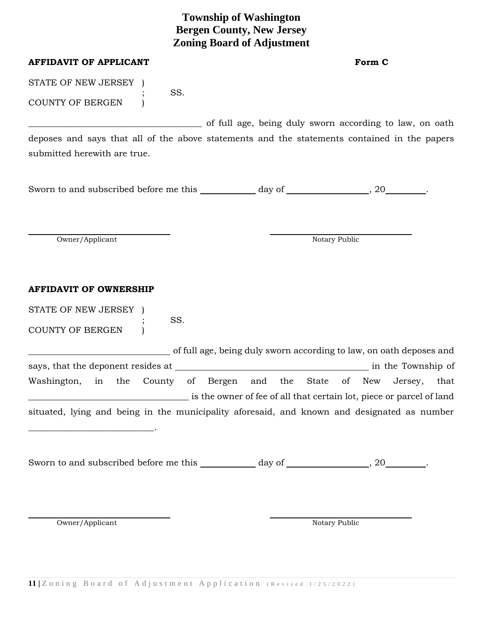**11** | Z o n i n g B o a r d o f A d justment Application (Revised 1/25/2022)

STATE OF NEW JERSEY )

COUNTY OF BERGEN )

of full age, being duly sworn according to law, on oath deposes and says that all of the above statements and the statements contained in the papers submitted herewith are true.

Sworn to and subscribed before me this  $\frac{1}{2}$  day of  $\frac{1}{2}$ , 20 .

Owner/Applicant Notary Public Notary Public

**AFFIDAVIT OF OWNERSHIP**

STATE OF NEW JERSEY ) SS. COUNTY OF BERGEN )

of full age, being duly sworn according to law, on oath deposes and says, that the deponent resides at in the Township of Washington, in the County of Bergen and the State of New Jersey, that \_\_\_\_\_\_\_\_\_\_\_\_\_\_\_\_\_\_\_\_\_\_\_\_\_\_\_\_\_\_\_\_\_\_\_\_\_ is the owner of fee of all that certain lot, piece or parcel of land situated, lying and being in the municipality aforesaid, and known and designated as number \_\_\_\_\_\_\_\_\_\_\_\_\_\_\_\_\_\_\_\_\_\_\_\_\_\_\_\_\_.

Sworn to and subscribed before me this \_\_\_\_\_\_\_\_\_\_ day of \_\_\_\_\_\_\_\_\_\_\_\_\_\_\_, 20\_\_\_\_\_\_\_\_.

Owner/Applicant Notary Public Notary Public Notary Public

**AFFIDAVIT OF APPLICANT Form C**

SS.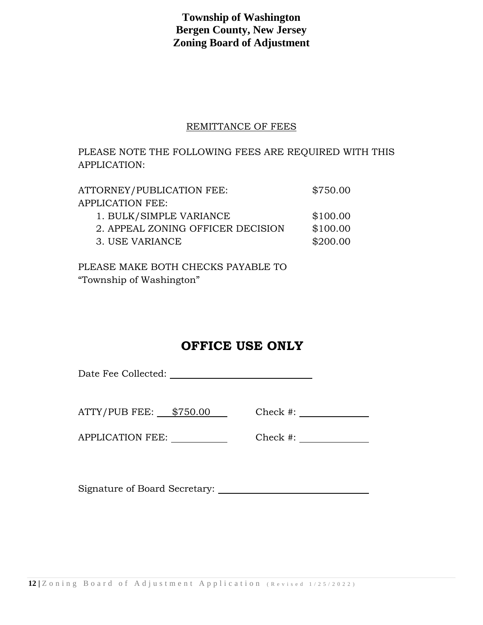#### REMITTANCE OF FEES

PLEASE NOTE THE FOLLOWING FEES ARE REQUIRED WITH THIS APPLICATION:

| ATTORNEY/PUBLICATION FEE:         | \$750.00 |
|-----------------------------------|----------|
| APPLICATION FEE:                  |          |
| 1. BULK/SIMPLE VARIANCE           | \$100.00 |
| 2. APPEAL ZONING OFFICER DECISION | \$100.00 |
| 3. USE VARIANCE                   | \$200.00 |
|                                   |          |

PLEASE MAKE BOTH CHECKS PAYABLE TO "Township of Washington"

## **OFFICE USE ONLY**

Date Fee Collected:

ATTY/PUB FEE: \$750.00 Check #:

APPLICATION FEE: Check #:

Signature of Board Secretary: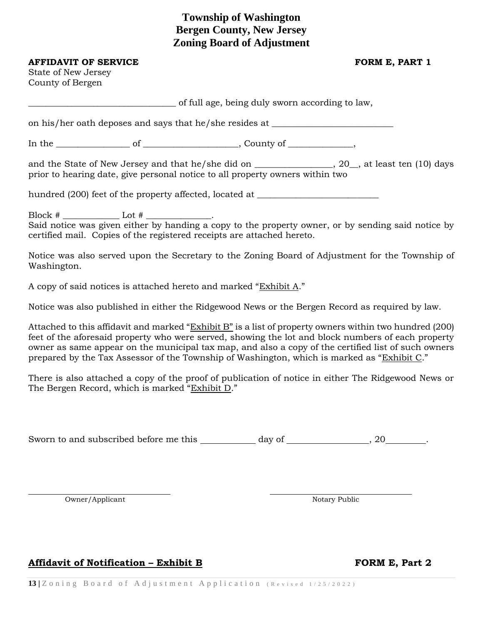**AFFIDAVIT OF SERVICE FORM E, PART 1** 

State of New Jersey County of Bergen

\_\_\_\_\_\_\_\_\_\_\_\_\_\_\_\_\_\_\_\_\_\_\_\_\_\_\_\_\_\_\_\_\_\_ of full age, being duly sworn according to law,

on his/her oath deposes and says that he/she resides at

In the \_\_\_\_\_\_\_\_\_\_\_\_\_\_\_\_\_ of \_\_\_\_\_\_\_\_\_\_\_\_\_\_\_\_\_\_\_\_\_\_, County of \_\_\_\_\_\_\_\_\_\_\_\_\_\_\_,

and the State of New Jersey and that he/she did on  $\qquad \qquad$ , 20, at least ten (10) days prior to hearing date, give personal notice to all property owners within two

hundred (200) feet of the property affected, located at \_\_\_\_\_\_\_\_\_\_\_\_\_\_\_\_\_\_\_\_\_\_\_\_

 $Block \#$   $Lot \#$ Said notice was given either by handing a copy to the property owner, or by sending said notice by certified mail. Copies of the registered receipts are attached hereto.

Notice was also served upon the Secretary to the Zoning Board of Adjustment for the Township of Washington.

A copy of said notices is attached hereto and marked "Exhibit A."

Notice was also published in either the Ridgewood News or the Bergen Record as required by law.

Attached to this affidavit and marked "Exhibit B" is a list of property owners within two hundred (200) feet of the aforesaid property who were served, showing the lot and block numbers of each property owner as same appear on the municipal tax map, and also a copy of the certified list of such owners prepared by the Tax Assessor of the Township of Washington, which is marked as "Exhibit C."

There is also attached a copy of the proof of publication of notice in either The Ridgewood News or The Bergen Record, which is marked "Exhibit D."

Sworn to and subscribed before me this day of , 20 .

Owner/Applicant Notary Public Notary Public

#### **Affidavit of Notification – Exhibit B FORM E, Part 2**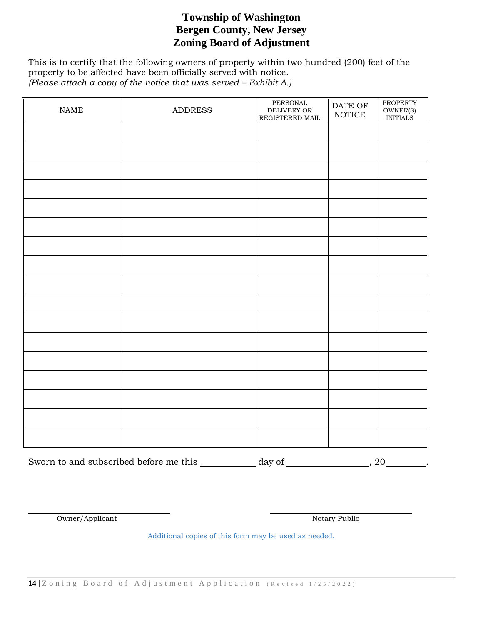This is to certify that the following owners of property within two hundred (200) feet of the property to be affected have been officially served with notice. *(Please attach a copy of the notice that was served – Exhibit A.)* 

| $\ensuremath{\mathsf{NAME}}$ | ADDRESS | PERSONAL<br>DELIVERY OR<br>REGISTERED MAIL | $\operatorname{DATE}$ OF<br>$\operatorname{NOTICE}$ | PROPERTY<br>OWNER(S)<br>INITIALS |
|------------------------------|---------|--------------------------------------------|-----------------------------------------------------|----------------------------------|
|                              |         |                                            |                                                     |                                  |
|                              |         |                                            |                                                     |                                  |
|                              |         |                                            |                                                     |                                  |
|                              |         |                                            |                                                     |                                  |
|                              |         |                                            |                                                     |                                  |
|                              |         |                                            |                                                     |                                  |
|                              |         |                                            |                                                     |                                  |
|                              |         |                                            |                                                     |                                  |
|                              |         |                                            |                                                     |                                  |
|                              |         |                                            |                                                     |                                  |
|                              |         |                                            |                                                     |                                  |
|                              |         |                                            |                                                     |                                  |
|                              |         |                                            |                                                     |                                  |
|                              |         |                                            |                                                     |                                  |
|                              |         |                                            |                                                     |                                  |
|                              |         |                                            |                                                     |                                  |
|                              |         |                                            |                                                     |                                  |

Sworn to and subscribed before me this \_\_\_\_\_\_\_\_\_\_ day of \_\_\_\_\_\_\_\_\_\_\_\_\_\_\_, 20\_\_\_\_\_\_\_.

Owner/Applicant Notary Public Research Applicant Notary Public Research Applicant Notary Public Research Applicant

Additional copies of this form may be used as needed.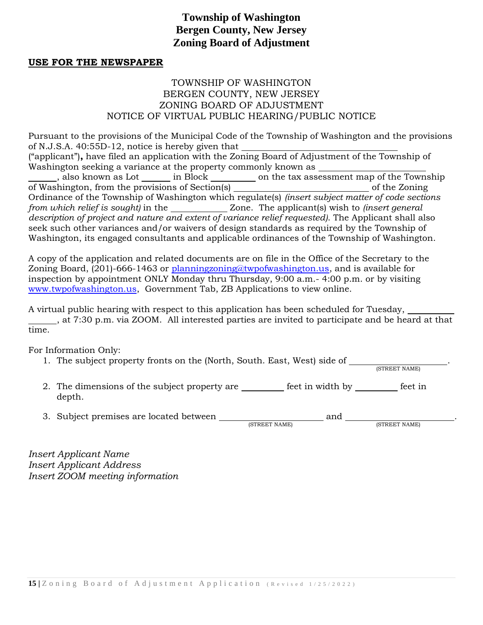#### **USE FOR THE NEWSPAPER**

#### TOWNSHIP OF WASHINGTON BERGEN COUNTY, NEW JERSEY ZONING BOARD OF ADJUSTMENT NOTICE OF VIRTUAL PUBLIC HEARING/PUBLIC NOTICE

Pursuant to the provisions of the Municipal Code of the Township of Washington and the provisions of N.J.S.A. 40:55D-12, notice is hereby given that

("applicant")**,** have filed an application with the Zoning Board of Adjustment of the Township of Washington seeking a variance at the property commonly known as

, also known as Lot  $\frac{1}{\sqrt{1-\frac{1}{n}}}$  in Block  $\frac{1}{\sqrt{1-\frac{1}{n}}}$  on the tax assessment map of the Township of Washington, from the provisions of Section(s) of the Zoning Ordinance of the Township of Washington which regulate(s) *(insert subject matter of code sections from which relief is sought)* in the Zone. The applicant (s) wish to *(insert general description of project and nature and extent of variance relief requested)*. The Applicant shall also seek such other variances and/or waivers of design standards as required by the Township of Washington, its engaged consultants and applicable ordinances of the Township of Washington.

A copy of the application and related documents are on file in the Office of the Secretary to the Zoning Board,  $(201)$ -666-1463 or [planningzoning@twpofwashington.us,](mailto:planningzoning@twpofwashington.us) and is available for inspection by appointment ONLY Monday thru Thursday, 9:00 a.m.- 4:00 p.m. or by visiting [www.twpofwashington.us,](http://www.twpofwashington.us/) Government Tab, ZB Applications to view online.

A virtual public hearing with respect to this application has been scheduled for Tuesday, , at 7:30 p.m. via ZOOM. All interested parties are invited to participate and be heard at that time.

For Information Only:

- 1. The subject property fronts on the (North, South. East, West) side of . (STREET NAME) 2. The dimensions of the subject property are feet in width by feet in depth.
- 3. Subject premises are located between and .

(STREET NAME) (STREET NAME)

*Insert Applicant Name Insert Applicant Address Insert ZOOM meeting information*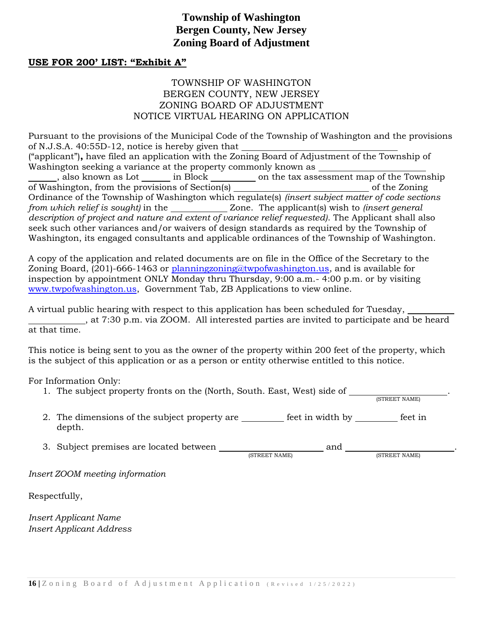#### **USE FOR 200' LIST: "Exhibit A"**

#### TOWNSHIP OF WASHINGTON BERGEN COUNTY, NEW JERSEY ZONING BOARD OF ADJUSTMENT NOTICE VIRTUAL HEARING ON APPLICATION

Pursuant to the provisions of the Municipal Code of the Township of Washington and the provisions of N.J.S.A. 40:55D-12, notice is hereby given that

("applicant")**,** have filed an application with the Zoning Board of Adjustment of the Township of Washington seeking a variance at the property commonly known as

, also known as Lot in Block on the tax assessment map of the Township of Washington, from the provisions of Section(s) of the Zoning Ordinance of the Township of Washington which regulate(s) *(insert subject matter of code sections from which relief is sought)* in the Zone. The applicant (s) wish to *(insert general description of project and nature and extent of variance relief requested)*. The Applicant shall also seek such other variances and/or waivers of design standards as required by the Township of Washington, its engaged consultants and applicable ordinances of the Township of Washington.

A copy of the application and related documents are on file in the Office of the Secretary to the Zoning Board,  $(201)$ -666-1463 or [planningzoning@twpofwashington.us,](mailto:planningzoning@twpofwashington.us) and is available for inspection by appointment ONLY Monday thru Thursday, 9:00 a.m.- 4:00 p.m. or by visiting [www.twpofwashington.us,](http://www.twpofwashington.us/) Government Tab, ZB Applications to view online.

A virtual public hearing with respect to this application has been scheduled for Tuesday, , at 7:30 p.m. via ZOOM. All interested parties are invited to participate and be heard at that time.

This notice is being sent to you as the owner of the property within 200 feet of the property, which is the subject of this application or as a person or entity otherwise entitled to this notice.

For Information Only:

| (STREET NAME)               |  |
|-----------------------------|--|
| feet in width by<br>feet in |  |
| (STREET NAME)               |  |
|                             |  |
|                             |  |
|                             |  |
|                             |  |